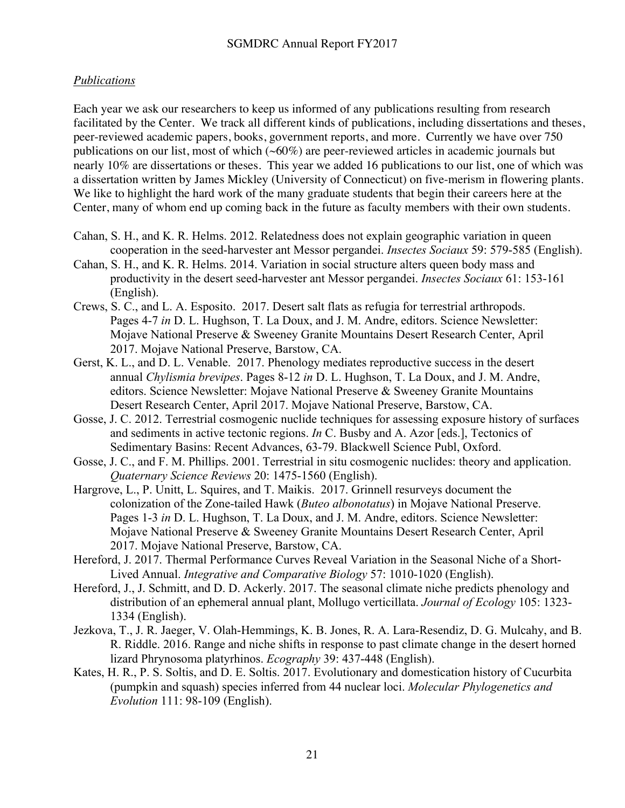## *Publications*

Each year we ask our researchers to keep us informed of any publications resulting from research facilitated by the Center. We track all different kinds of publications, including dissertations and theses, peer-reviewed academic papers, books, government reports, and more. Currently we have over 750 publications on our list, most of which (~60%) are peer-reviewed articles in academic journals but nearly 10% are dissertations or theses. This year we added 16 publications to our list, one of which was a dissertation written by James Mickley (University of Connecticut) on five-merism in flowering plants. We like to highlight the hard work of the many graduate students that begin their careers here at the Center, many of whom end up coming back in the future as faculty members with their own students.

- Cahan, S. H., and K. R. Helms. 2012. Relatedness does not explain geographic variation in queen cooperation in the seed-harvester ant Messor pergandei. *Insectes Sociaux* 59: 579-585 (English).
- Cahan, S. H., and K. R. Helms. 2014. Variation in social structure alters queen body mass and productivity in the desert seed-harvester ant Messor pergandei. *Insectes Sociaux* 61: 153-161 (English).
- Crews, S. C., and L. A. Esposito. 2017. Desert salt flats as refugia for terrestrial arthropods. Pages 4-7 *in* D. L. Hughson, T. La Doux, and J. M. Andre, editors. Science Newsletter: Mojave National Preserve & Sweeney Granite Mountains Desert Research Center, April 2017. Mojave National Preserve, Barstow, CA.
- Gerst, K. L., and D. L. Venable. 2017. Phenology mediates reproductive success in the desert annual *Chylismia brevipes*. Pages 8-12 *in* D. L. Hughson, T. La Doux, and J. M. Andre, editors. Science Newsletter: Mojave National Preserve & Sweeney Granite Mountains Desert Research Center, April 2017. Mojave National Preserve, Barstow, CA.
- Gosse, J. C. 2012. Terrestrial cosmogenic nuclide techniques for assessing exposure history of surfaces and sediments in active tectonic regions. *In* C. Busby and A. Azor [eds.], Tectonics of Sedimentary Basins: Recent Advances, 63-79. Blackwell Science Publ, Oxford.
- Gosse, J. C., and F. M. Phillips. 2001. Terrestrial in situ cosmogenic nuclides: theory and application. *Quaternary Science Reviews* 20: 1475-1560 (English).
- Hargrove, L., P. Unitt, L. Squires, and T. Maikis. 2017. Grinnell resurveys document the colonization of the Zone-tailed Hawk (*Buteo albonotatus*) in Mojave National Preserve. Pages 1-3 *in* D. L. Hughson, T. La Doux, and J. M. Andre, editors. Science Newsletter: Mojave National Preserve & Sweeney Granite Mountains Desert Research Center, April 2017. Mojave National Preserve, Barstow, CA.
- Hereford, J. 2017. Thermal Performance Curves Reveal Variation in the Seasonal Niche of a Short-Lived Annual. *Integrative and Comparative Biology* 57: 1010-1020 (English).
- Hereford, J., J. Schmitt, and D. D. Ackerly. 2017. The seasonal climate niche predicts phenology and distribution of an ephemeral annual plant, Mollugo verticillata. *Journal of Ecology* 105: 1323- 1334 (English).
- Jezkova, T., J. R. Jaeger, V. Olah-Hemmings, K. B. Jones, R. A. Lara-Resendiz, D. G. Mulcahy, and B. R. Riddle. 2016. Range and niche shifts in response to past climate change in the desert horned lizard Phrynosoma platyrhinos. *Ecography* 39: 437-448 (English).
- Kates, H. R., P. S. Soltis, and D. E. Soltis. 2017. Evolutionary and domestication history of Cucurbita (pumpkin and squash) species inferred from 44 nuclear loci. *Molecular Phylogenetics and Evolution* 111: 98-109 (English).